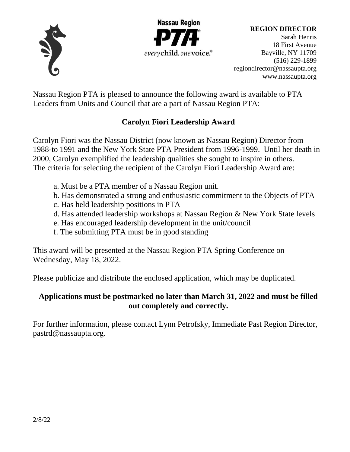



**REGION DIRECTOR**

Sarah Henris 18 First Avenue Bayville, NY 11709 (516) 229-1899 [regiondirector@nassaupta.org](mailto:regiondirector@nassaupta.org) [www.nassaupta.org](http://www.nassaupta.org/)

Nassau Region PTA is pleased to announce the following award is available to PTA Leaders from Units and Council that are a part of Nassau Region PTA:

# **Carolyn Fiori Leadership Award**

Carolyn Fiori was the Nassau District (now known as Nassau Region) Director from 1988-to 1991 and the New York State PTA President from 1996-1999. Until her death in 2000, Carolyn exemplified the leadership qualities she sought to inspire in others. The criteria for selecting the recipient of the Carolyn Fiori Leadership Award are:

- a. Must be a PTA member of a Nassau Region unit.
- b. Has demonstrated a strong and enthusiastic commitment to the Objects of PTA
- c. Has held leadership positions in PTA
- d. Has attended leadership workshops at Nassau Region & New York State levels
- e. Has encouraged leadership development in the unit/council
- f. The submitting PTA must be in good standing

This award will be presented at the Nassau Region PTA Spring Conference on Wednesday, May 18, 2022.

Please publicize and distribute the enclosed application, which may be duplicated.

## **Applications must be postmarked no later than March 31, 2022 and must be filled out completely and correctly.**

For further information, please contact Lynn Petrofsky, Immediate Past Region Director, pastrd@nassaupta.org.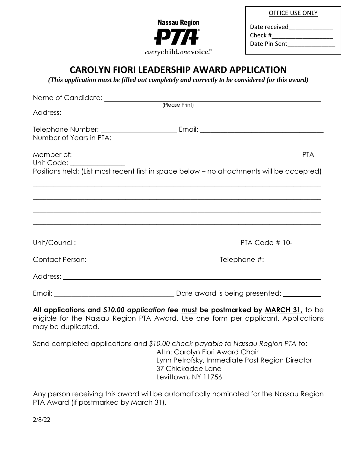

OFFICE USE ONLY

Date received

Check #\_\_\_\_\_\_\_\_\_\_\_\_\_\_\_\_\_\_

Date Pin Sent

# **CAROLYN FIORI LEADERSHIP AWARD APPLICATION**

*(This application must be filled out completely and correctly to be considered for this award)*

| Number of Years in PTA: _____                                                                                                                                                                                                     |                                                                                                                                                                                                                                      |
|-----------------------------------------------------------------------------------------------------------------------------------------------------------------------------------------------------------------------------------|--------------------------------------------------------------------------------------------------------------------------------------------------------------------------------------------------------------------------------------|
|                                                                                                                                                                                                                                   |                                                                                                                                                                                                                                      |
| Unit Code: ______________                                                                                                                                                                                                         |                                                                                                                                                                                                                                      |
|                                                                                                                                                                                                                                   | Positions held: (List most recent first in space below - no attachments will be accepted)                                                                                                                                            |
|                                                                                                                                                                                                                                   |                                                                                                                                                                                                                                      |
|                                                                                                                                                                                                                                   |                                                                                                                                                                                                                                      |
|                                                                                                                                                                                                                                   | ,我们也不能在这里的时候,我们也不能在这里的时候,我们也不能不能不能不能不能不能不能不能不能不能不能不能不能不能不能。""我们不能不能不能不能不能不能不能不能不能                                                                                                                                                    |
|                                                                                                                                                                                                                                   |                                                                                                                                                                                                                                      |
|                                                                                                                                                                                                                                   |                                                                                                                                                                                                                                      |
|                                                                                                                                                                                                                                   | Address: <u>Quarterial and the contract of the contract of the contract of the contract of the contract of the contract of the contract of the contract of the contract of the contract of the contract of the contract of the c</u> |
|                                                                                                                                                                                                                                   |                                                                                                                                                                                                                                      |
| $\mathbf{r}$ , and the contract of the contract of the contract of the contract of the contract of the contract of the contract of the contract of the contract of the contract of the contract of the contract of the contract o | All applications and \$10.00 application fee must be postmarked by MARCH 31, to be                                                                                                                                                   |

eligible for the Nassau Region PTA Award. Use one form per applicant. Applications may be duplicated.

Send completed applications and *\$10.00 check payable to Nassau Region PTA* to: Attn: Carolyn Fiori Award Chair Lynn Petrofsky, Immediate Past Region Director 37 Chickadee Lane Levittown, NY 11756

Any person receiving this award will be automatically nominated for the Nassau Region PTA Award (if postmarked by March 31).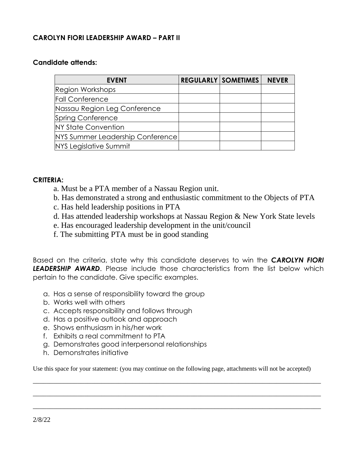### **CAROLYN FIORI LEADERSHIP AWARD – PART II**

### **Candidate attends:**

| <b>EVENT</b>                     | <b>REGULARLY   SOMETIMES  </b> | <b>NEVER</b> |
|----------------------------------|--------------------------------|--------------|
| <b>Region Workshops</b>          |                                |              |
| <b>Fall Conference</b>           |                                |              |
| Nassau Region Leg Conference     |                                |              |
| <b>Spring Conference</b>         |                                |              |
| <b>NY State Convention</b>       |                                |              |
| NYS Summer Leadership Conference |                                |              |
| NYS Legislative Summit           |                                |              |

#### **CRITERIA:**

- a. Must be a PTA member of a Nassau Region unit.
- b. Has demonstrated a strong and enthusiastic commitment to the Objects of PTA
- c. Has held leadership positions in PTA
- d. Has attended leadership workshops at Nassau Region & New York State levels
- e. Has encouraged leadership development in the unit/council
- f. The submitting PTA must be in good standing

Based on the criteria, state why this candidate deserves to win the *CAROLYN FIORI* **LEADERSHIP AWARD.** Please include those characteristics from the list below which pertain to the candidate. Give specific examples.

- a. Has a sense of responsibility toward the group
- b. Works well with others
- c. Accepts responsibility and follows through
- d. Has a positive outlook and approach
- e. Shows enthusiasm in his/her work
- f. Exhibits a real commitment to PTA
- g. Demonstrates good interpersonal relationships
- h. Demonstrates initiative

Use this space for your statement: (you may continue on the following page, attachments will not be accepted)

 $\_$  , and the set of the set of the set of the set of the set of the set of the set of the set of the set of the set of the set of the set of the set of the set of the set of the set of the set of the set of the set of th

 $\_$  , and the set of the set of the set of the set of the set of the set of the set of the set of the set of the set of the set of the set of the set of the set of the set of the set of the set of the set of the set of th

 $\_$  , and the set of the set of the set of the set of the set of the set of the set of the set of the set of the set of the set of the set of the set of the set of the set of the set of the set of the set of the set of th